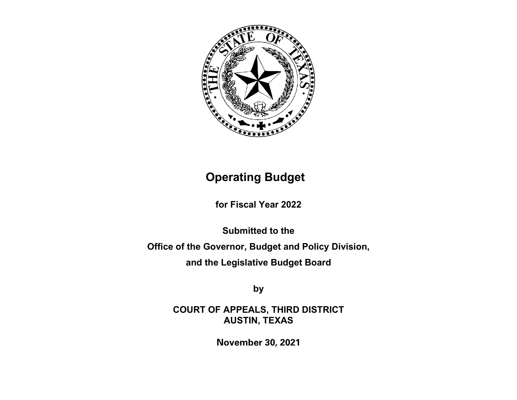

# **Operating Budget**

**for Fiscal Year 2022**

**Submitted to the Office of the Governor, Budget and Policy Division, and the Legislative Budget Board**

**by**

**COURT OF APPEALS, THIRD DISTRICT AUSTIN, TEXAS**

**November 30, 2021**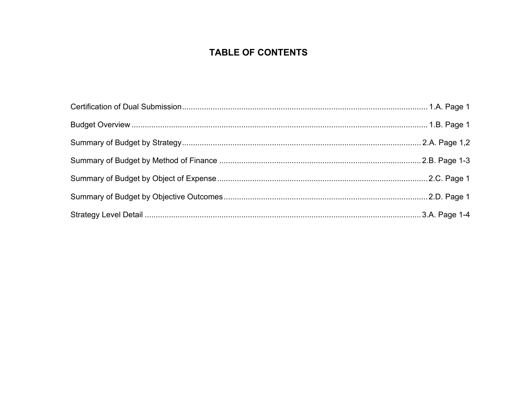# **TABLE OF CONTENTS**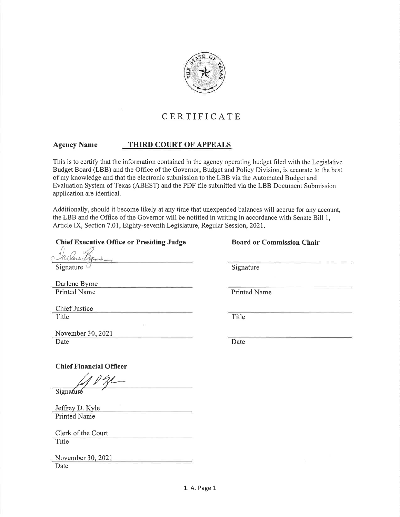

# CERTIFICATE

#### **Agency Name** THIRD COURT OF APPEALS

This is to certify that the information contained in the agency operating budget filed with the Legislative Budget Board (LBB) and the Office of the Governor, Budget and Policy Division, is accurate to the best of my knowledge and that the electronic submission to the LBB via the Automated Budget and Evaluation System of Texas (ABEST) and the PDF file submitted via the LBB Document Submission application are identical.

Additionally, should it become likely at any time that unexpended balances will accrue for any account, the LBB and the Office of the Governor will be notified in writing in accordance with Senate Bill 1, Article IX, Section 7.01, Eighty-seventh Legislature, Regular Session, 2021.

# **Chief Executive Office or Presiding Judge**

**Board or Commission Chair** 

Signature

Darlene Byrne **Printed Name** 

Chief Justice Title

Title

Signature

Printed Name

November 30, 2021 Date

Date

**Chief Financial Officer** 

Signaturé

Jeffrey D. Kyle **Printed Name** 

Clerk of the Court Title

November 30, 2021 Date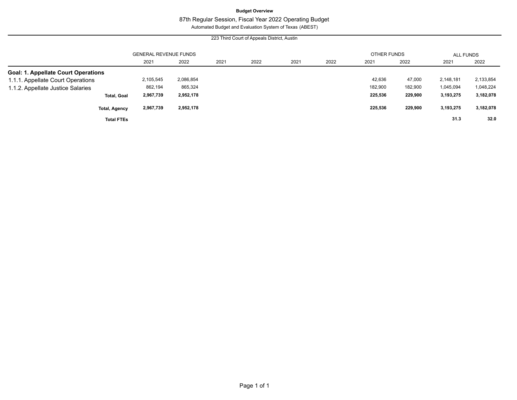# **Budget Overview**

# 87th Regular Session, Fiscal Year 2022 Operating Budget

Automated Budget and Evaluation System of Texas (ABEST)

|                                            |                              |           |      | 223 Third Court of Appeals District, Austin |      |      |                    |         |           |           |
|--------------------------------------------|------------------------------|-----------|------|---------------------------------------------|------|------|--------------------|---------|-----------|-----------|
|                                            | <b>GENERAL REVENUE FUNDS</b> |           |      |                                             |      |      | <b>OTHER FUNDS</b> |         | ALL FUNDS |           |
|                                            | 2021                         | 2022      | 2021 | 2022                                        | 2021 | 2022 | 2021               | 2022    | 2021      | 2022      |
| <b>Goal: 1. Appellate Court Operations</b> |                              |           |      |                                             |      |      |                    |         |           |           |
| 1.1.1. Appellate Court Operations          | 2,105,545                    | 2,086,854 |      |                                             |      |      | 42,636             | 47,000  | 2,148,181 | 2,133,854 |
| 1.1.2. Appellate Justice Salaries          | 862,194                      | 865,324   |      |                                             |      |      | 182,900            | 182,900 | 1,045,094 | 1,048,224 |
| <b>Total, Goal</b>                         | 2,967,739                    | 2,952,178 |      |                                             |      |      | 225,536            | 229,900 | 3,193,275 | 3,182,078 |
| <b>Total, Agency</b>                       | 2,967,739                    | 2,952,178 |      |                                             |      |      | 225,536            | 229,900 | 3,193,275 | 3,182,078 |
| <b>Total FTEs</b>                          |                              |           |      |                                             |      |      |                    |         | 31.3      | 32.0      |

 $\overline{\phantom{0}}$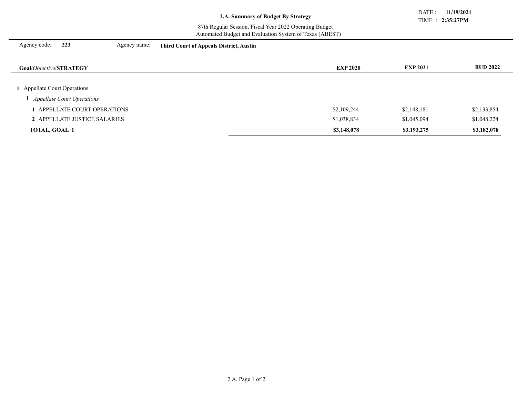TIME : **2:35:27PM** DATE : **11/19/2021**

### 87th Regular Session, Fiscal Year 2022 Operating Budget Automated Budget and Evaluation System of Texas (ABEST)

Agency code: **223** Agency name: **Third Court of Appeals District, Austin**

| <b>Goal/Objective/STRATEGY</b>    | <b>EXP 2020</b> | <b>EXP 2021</b> | <b>BUD 2022</b> |
|-----------------------------------|-----------------|-----------------|-----------------|
|                                   |                 |                 |                 |
| 1 Appellate Court Operations      |                 |                 |                 |
| <b>Appellate Court Operations</b> |                 |                 |                 |
| APPELLATE COURT OPERATIONS        | \$2,109,244     | \$2,148,181     | \$2,133,854     |
| 2 APPELLATE JUSTICE SALARIES      | \$1,038,834     | \$1,045,094     | \$1,048,224     |
| <b>TOTAL, GOAL 1</b>              | \$3,148,078     | \$3,193,275     | \$3,182,078     |
|                                   |                 |                 |                 |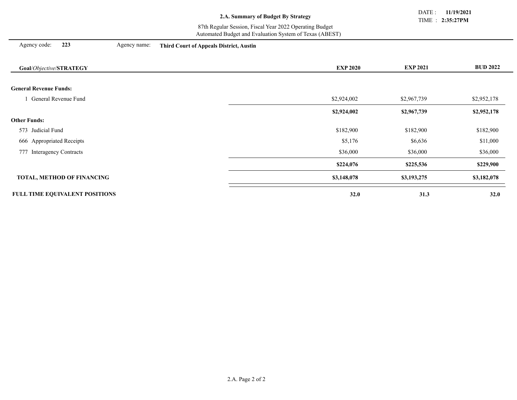TIME : **2:35:27PM** DATE : **11/19/2021**

#### 87th Regular Session, Fiscal Year 2022 Operating Budget Automated Budget and Evaluation System of Texas (ABEST)

| Agency code: |  |  | 223 |
|--------------|--|--|-----|
|--------------|--|--|-----|

Agency code: **223** Agency name: **Third Court of Appeals District, Austin**

| Goal/Objective/STRATEGY               | <b>EXP 2020</b> | <b>EXP 2021</b> | <b>BUD 2022</b> |
|---------------------------------------|-----------------|-----------------|-----------------|
|                                       |                 |                 |                 |
| <b>General Revenue Funds:</b>         |                 |                 |                 |
| General Revenue Fund                  | \$2,924,002     | \$2,967,739     | \$2,952,178     |
|                                       | \$2,924,002     | \$2,967,739     | \$2,952,178     |
| <b>Other Funds:</b>                   |                 |                 |                 |
| 573 Judicial Fund                     | \$182,900       | \$182,900       | \$182,900       |
| 666 Appropriated Receipts             | \$5,176         | \$6,636         | \$11,000        |
| 777 Interagency Contracts             | \$36,000        | \$36,000        | \$36,000        |
|                                       | \$224,076       | \$225,536       | \$229,900       |
| <b>TOTAL, METHOD OF FINANCING</b>     | \$3,148,078     | \$3,193,275     | \$3,182,078     |
| <b>FULL TIME EQUIVALENT POSITIONS</b> | 32.0            | 31.3            | 32.0            |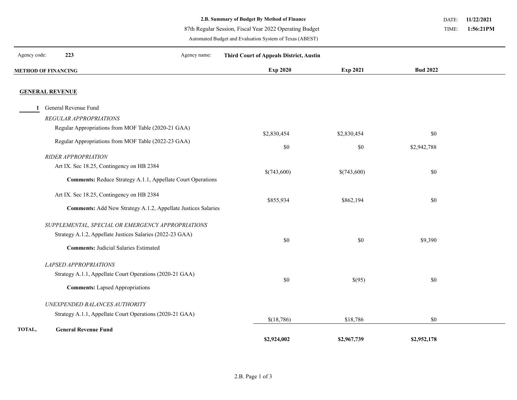87th Regular Session, Fiscal Year 2022 Operating Budget

Automated Budget and Evaluation System of Texas (ABEST)

**11/22/2021** DATE:

 **1:56:21PM** TIME:

| Agency code: | 223                                                           | Agency name: | <b>Third Court of Appeals District, Austin</b> |                    |                    |  |
|--------------|---------------------------------------------------------------|--------------|------------------------------------------------|--------------------|--------------------|--|
|              | <b>METHOD OF FINANCING</b>                                    |              | <b>Exp 2020</b>                                | Exp 2021           | <b>Bud 2022</b>    |  |
|              | <b>GENERAL REVENUE</b>                                        |              |                                                |                    |                    |  |
| 1            | General Revenue Fund                                          |              |                                                |                    |                    |  |
|              | REGULAR APPROPRIATIONS                                        |              |                                                |                    |                    |  |
|              | Regular Appropriations from MOF Table (2020-21 GAA)           |              |                                                |                    |                    |  |
|              | Regular Appropriations from MOF Table (2022-23 GAA)           |              | \$2,830,454<br>$\$0$                           | \$2,830,454<br>\$0 | \$0<br>\$2,942,788 |  |
|              | RIDER APPROPRIATION                                           |              |                                                |                    |                    |  |
|              | Art IX. Sec 18.25, Contingency on HB 2384                     |              |                                                |                    |                    |  |
|              | Comments: Reduce Strategy A.1.1, Appellate Court Operations   |              | \$(743,600)                                    | \$(743,600)        | \$0                |  |
|              | Art IX. Sec 18.25, Contingency on HB 2384                     |              | \$855,934                                      | \$862,194          | \$0                |  |
|              | Comments: Add New Strategy A.1.2, Appellate Justices Salaries |              |                                                |                    |                    |  |
|              | SUPPLEMENTAL, SPECIAL OR EMERGENCY APPROPRIATIONS             |              |                                                |                    |                    |  |
|              | Strategy A.1.2, Appellate Justices Salaries (2022-23 GAA)     |              | $\$0$                                          | \$0                | \$9,390            |  |
|              | <b>Comments: Judicial Salaries Estimated</b>                  |              |                                                |                    |                    |  |
|              | LAPSED APPROPRIATIONS                                         |              |                                                |                    |                    |  |
|              | Strategy A.1.1, Appellate Court Operations (2020-21 GAA)      |              | $\$0$                                          | \$(95)             | \$0                |  |
|              | <b>Comments:</b> Lapsed Appropriations                        |              |                                                |                    |                    |  |
|              | UNEXPENDED BALANCES AUTHORITY                                 |              |                                                |                    |                    |  |
|              | Strategy A.1.1, Appellate Court Operations (2020-21 GAA)      |              | \$(18, 786)                                    | \$18,786           | \$0                |  |
| TOTAL,       | <b>General Revenue Fund</b>                                   |              | \$2,924,002                                    | \$2,967,739        | \$2,952,178        |  |
|              |                                                               |              |                                                |                    |                    |  |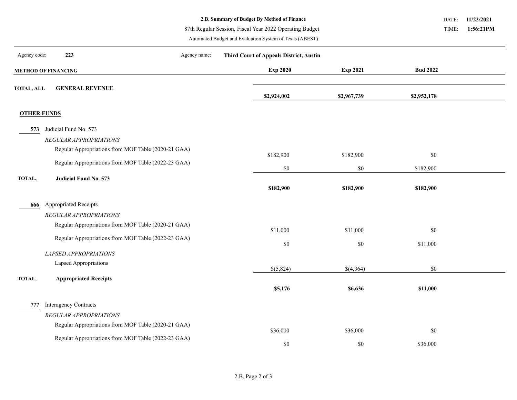87th Regular Session, Fiscal Year 2022 Operating Budget

Automated Budget and Evaluation System of Texas (ABEST)

**11/22/2021** DATE:

 **1:56:21PM** TIME:

| Agency code:       | 223                                                 | Agency name: | <b>Third Court of Appeals District, Austin</b> |             |                 |  |
|--------------------|-----------------------------------------------------|--------------|------------------------------------------------|-------------|-----------------|--|
|                    | <b>METHOD OF FINANCING</b>                          |              | Exp 2020                                       | Exp 2021    | <b>Bud 2022</b> |  |
| <b>TOTAL, ALL</b>  | <b>GENERAL REVENUE</b>                              |              | \$2,924,002                                    | \$2,967,739 | \$2,952,178     |  |
| <b>OTHER FUNDS</b> |                                                     |              |                                                |             |                 |  |
| 573                | Judicial Fund No. 573                               |              |                                                |             |                 |  |
|                    | REGULAR APPROPRIATIONS                              |              |                                                |             |                 |  |
|                    | Regular Appropriations from MOF Table (2020-21 GAA) |              | \$182,900                                      | \$182,900   | \$0             |  |
|                    | Regular Appropriations from MOF Table (2022-23 GAA) |              | $\$0$                                          | \$0         | \$182,900       |  |
| TOTAL,             | Judicial Fund No. 573                               |              | \$182,900                                      | \$182,900   | \$182,900       |  |
| 666                | <b>Appropriated Receipts</b>                        |              |                                                |             |                 |  |
|                    | REGULAR APPROPRIATIONS                              |              |                                                |             |                 |  |
|                    | Regular Appropriations from MOF Table (2020-21 GAA) |              | \$11,000                                       | \$11,000    | $\$0$           |  |
|                    | Regular Appropriations from MOF Table (2022-23 GAA) |              | $\$0$                                          | \$0         | \$11,000        |  |
|                    | LAPSED APPROPRIATIONS                               |              |                                                |             |                 |  |
|                    | Lapsed Appropriations                               |              | \$(5,824)                                      | \$(4,364)   | \$0             |  |
| TOTAL,             | <b>Appropriated Receipts</b>                        |              | \$5,176                                        | \$6,636     | \$11,000        |  |
| 777                | <b>Interagency Contracts</b>                        |              |                                                |             |                 |  |
|                    | REGULAR APPROPRIATIONS                              |              |                                                |             |                 |  |
|                    | Regular Appropriations from MOF Table (2020-21 GAA) |              | \$36,000                                       | \$36,000    | $\$0$           |  |
|                    | Regular Appropriations from MOF Table (2022-23 GAA) |              | \$0                                            | \$0         | \$36,000        |  |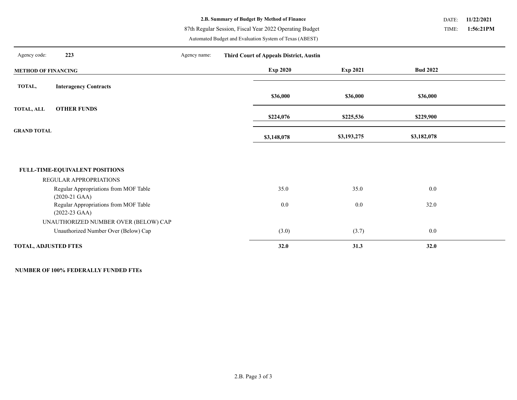87th Regular Session, Fiscal Year 2022 Operating Budget

Automated Budget and Evaluation System of Texas (ABEST)

**11/22/2021** DATE:

 **1:56:21PM** TIME:

| Agency code:                | 223                                                              | Agency name: | <b>Third Court of Appeals District, Austin</b> |             |                 |  |
|-----------------------------|------------------------------------------------------------------|--------------|------------------------------------------------|-------------|-----------------|--|
| <b>METHOD OF FINANCING</b>  |                                                                  |              | <b>Exp 2020</b>                                | Exp 2021    | <b>Bud 2022</b> |  |
| TOTAL,                      | <b>Interagency Contracts</b>                                     |              |                                                |             |                 |  |
|                             |                                                                  |              | \$36,000                                       | \$36,000    | \$36,000        |  |
| <b>TOTAL, ALL</b>           | <b>OTHER FUNDS</b>                                               |              | \$224,076                                      | \$225,536   | \$229,900       |  |
| <b>GRAND TOTAL</b>          |                                                                  |              | \$3,148,078                                    | \$3,193,275 | \$3,182,078     |  |
|                             |                                                                  |              |                                                |             |                 |  |
|                             | FULL-TIME-EQUIVALENT POSITIONS                                   |              |                                                |             |                 |  |
|                             | REGULAR APPROPRIATIONS                                           |              |                                                |             |                 |  |
|                             | Regular Appropriations from MOF Table<br>$(2020-21 \text{ GAA})$ |              | 35.0                                           | 35.0        | 0.0             |  |
|                             | Regular Appropriations from MOF Table<br>$(2022-23 \text{ GAA})$ |              | 0.0                                            | 0.0         | 32.0            |  |
|                             | UNAUTHORIZED NUMBER OVER (BELOW) CAP                             |              |                                                |             |                 |  |
|                             | Unauthorized Number Over (Below) Cap                             |              | (3.0)                                          | (3.7)       | 0.0             |  |
| <b>TOTAL, ADJUSTED FTES</b> |                                                                  |              | 32.0                                           | 31.3        | 32.0            |  |

### **NUMBER OF 100% FEDERALLY FUNDED FTEs**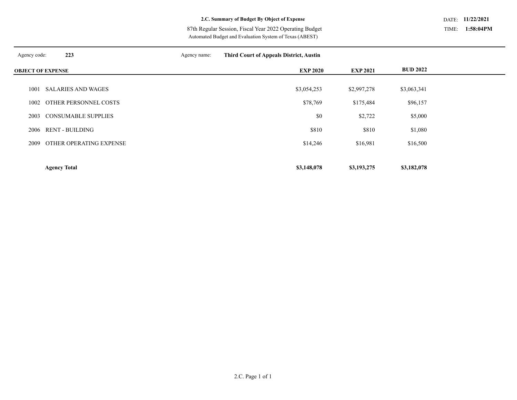Automated Budget and Evaluation System of Texas (ABEST) 87th Regular Session, Fiscal Year 2022 Operating Budget

| Agency code:             | 223                        | Agency name: | <b>Third Court of Appeals District, Austin</b> |                 |                 |  |
|--------------------------|----------------------------|--------------|------------------------------------------------|-----------------|-----------------|--|
| <b>OBJECT OF EXPENSE</b> |                            |              | <b>EXP 2020</b>                                | <b>EXP 2021</b> | <b>BUD 2022</b> |  |
|                          |                            |              |                                                |                 |                 |  |
| 1001                     | <b>SALARIES AND WAGES</b>  |              | \$3,054,253                                    | \$2,997,278     | \$3,063,341     |  |
| 1002                     | OTHER PERSONNEL COSTS      |              | \$78,769                                       | \$175,484       | \$96,157        |  |
| 2003                     | <b>CONSUMABLE SUPPLIES</b> |              | $\$0$                                          | \$2,722         | \$5,000         |  |
| 2006                     | <b>RENT - BUILDING</b>     |              | \$810                                          | \$810           | \$1,080         |  |
| 2009                     | OTHER OPERATING EXPENSE    |              | \$14,246                                       | \$16,981        | \$16,500        |  |
|                          |                            |              |                                                |                 |                 |  |
|                          | <b>Agency Total</b>        |              | \$3,148,078                                    | \$3,193,275     | \$3,182,078     |  |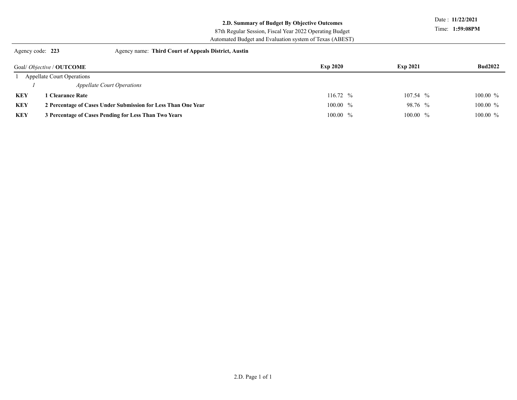# **2.D. Summary of Budget By Objective Outcomes**

Date : **11/22/2021**

Time: **1:59:08PM**

# 87th Regular Session, Fiscal Year 2022 Operating Budget

Automated Budget and Evaluation system of Texas (ABEST)

Agency code: **223** Agency name: **Third Court of Appeals District, Austin** 

|            | Goal/ <i>Objective</i> / <b>OUTCOME</b>                       | <b>Exp 2020</b> | <b>Exp 2021</b> | <b>Bud2022</b> |
|------------|---------------------------------------------------------------|-----------------|-----------------|----------------|
|            | <b>Appellate Court Operations</b>                             |                 |                 |                |
|            | <b>Appellate Court Operations</b>                             |                 |                 |                |
| <b>KEY</b> | <b>1 Clearance Rate</b>                                       | $116.72~\%$     | $107.54~\%$     | $100.00\%$     |
| <b>KEY</b> | 2 Percentage of Cases Under Submission for Less Than One Year | $100.00\%$      | 98.76 %         | $100.00 \%$    |
| <b>KEY</b> | 3 Percentage of Cases Pending for Less Than Two Years         | $100.00\%$      | $100.00\%$      | $100.00\%$     |
|            |                                                               |                 |                 |                |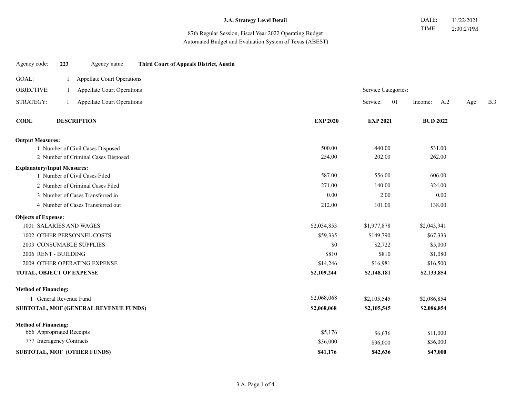87th Regular Session, Fiscal Year 2022 Operating Budget Automated Budget and Evaluation System of Texas (ABEST)

| Agency code:                       | 223                  | Agency name:                          | <b>Third Court of Appeals District, Austin</b> |                 |                     |                 |                    |
|------------------------------------|----------------------|---------------------------------------|------------------------------------------------|-----------------|---------------------|-----------------|--------------------|
| GOAL:                              |                      | Appellate Court Operations            |                                                |                 |                     |                 |                    |
| <b>OBJECTIVE:</b>                  | $\mathbf{1}$         | <b>Appellate Court Operations</b>     |                                                |                 | Service Categories: |                 |                    |
| STRATEGY:                          | $\mathbf{1}$         | <b>Appellate Court Operations</b>     |                                                |                 | 01<br>Service:      | A.2<br>Income:  | <b>B.3</b><br>Age: |
| <b>CODE</b>                        |                      | <b>DESCRIPTION</b>                    |                                                | <b>EXP 2020</b> | <b>EXP 2021</b>     | <b>BUD 2022</b> |                    |
| <b>Output Measures:</b>            |                      |                                       |                                                |                 |                     |                 |                    |
|                                    |                      | 1 Number of Civil Cases Disposed      |                                                | 500.00          | 440.00              | 531.00          |                    |
|                                    |                      | 2 Number of Criminal Cases Disposed   |                                                | 254.00          | 202.00              | 262.00          |                    |
| <b>Explanatory/Input Measures:</b> |                      |                                       |                                                |                 |                     |                 |                    |
|                                    |                      | 1 Number of Civil Cases Filed         |                                                | 587.00          | 556.00              | 606.00          |                    |
|                                    |                      | 2 Number of Criminal Cases Filed      |                                                | 271.00          | 140.00              | 324.00          |                    |
|                                    |                      | 3 Number of Cases Transferred in      |                                                | 0.00            | 2.00                | 0.00            |                    |
|                                    |                      | 4 Number of Cases Transferred out     |                                                | 212.00          | 101.00              | 138.00          |                    |
| <b>Objects of Expense:</b>         |                      |                                       |                                                |                 |                     |                 |                    |
| 1001 SALARIES AND WAGES            |                      |                                       |                                                | \$2,034,853     | \$1,977,878         | \$2,043,941     |                    |
|                                    |                      | 1002 OTHER PERSONNEL COSTS            |                                                | \$59,335        | \$149,790           | \$67,333        |                    |
|                                    |                      | 2003 CONSUMABLE SUPPLIES              |                                                | \$0             | \$2,722             | \$5,000         |                    |
| 2006 RENT - BUILDING               |                      |                                       |                                                | \$810           | \$810               | \$1,080         |                    |
|                                    |                      | 2009 OTHER OPERATING EXPENSE          |                                                | \$14,246        | \$16,981            | \$16,500        |                    |
| TOTAL, OBJECT OF EXPENSE           |                      |                                       |                                                | \$2,109,244     | \$2,148,181         | \$2,133,854     |                    |
| <b>Method of Financing:</b>        |                      |                                       |                                                |                 |                     |                 |                    |
|                                    | General Revenue Fund |                                       |                                                | \$2,068,068     | \$2,105,545         | \$2,086,854     |                    |
|                                    |                      | SUBTOTAL, MOF (GENERAL REVENUE FUNDS) |                                                | \$2,068,068     | \$2,105,545         | \$2,086,854     |                    |
| <b>Method of Financing:</b>        |                      |                                       |                                                |                 |                     |                 |                    |
| 666 Appropriated Receipts          |                      |                                       |                                                | \$5,176         | \$6,636             | \$11,000        |                    |
| 777 Interagency Contracts          |                      |                                       |                                                | \$36,000        | \$36,000            | \$36,000        |                    |
|                                    |                      | SUBTOTAL, MOF (OTHER FUNDS)           |                                                | \$41,176        | \$42,636            | \$47,000        |                    |
|                                    |                      |                                       |                                                |                 |                     |                 |                    |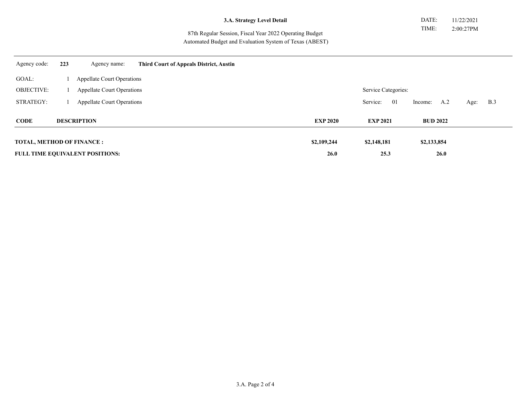87th Regular Session, Fiscal Year 2022 Operating Budget Automated Budget and Evaluation System of Texas (ABEST)

| Agency code:                      | 223 | Agency name:                           | <b>Third Court of Appeals District, Austin</b> |                 |                     |                 |                    |
|-----------------------------------|-----|----------------------------------------|------------------------------------------------|-----------------|---------------------|-----------------|--------------------|
| GOAL:                             |     | <b>Appellate Court Operations</b>      |                                                |                 |                     |                 |                    |
| <b>OBJECTIVE:</b>                 |     | <b>Appellate Court Operations</b>      |                                                |                 | Service Categories: |                 |                    |
| STRATEGY:                         |     | <b>Appellate Court Operations</b>      |                                                |                 | Service:<br>01      | A.2<br>Income:  | <b>B.3</b><br>Age: |
| <b>CODE</b>                       |     | <b>DESCRIPTION</b>                     |                                                | <b>EXP 2020</b> | <b>EXP 2021</b>     | <b>BUD 2022</b> |                    |
|                                   |     |                                        |                                                |                 |                     |                 |                    |
| <b>TOTAL, METHOD OF FINANCE :</b> |     |                                        |                                                | \$2,109,244     | \$2,148,181         | \$2,133,854     |                    |
|                                   |     | <b>FULL TIME EQUIVALENT POSITIONS:</b> |                                                | 26.0            | 25.3                | 26.0            |                    |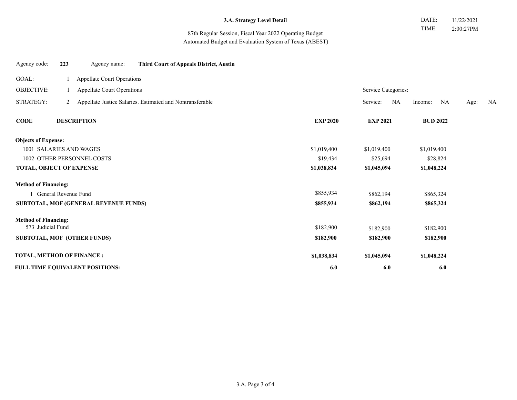87th Regular Session, Fiscal Year 2022 Operating Budget Automated Budget and Evaluation System of Texas (ABEST)

| Agency code:                          | 223                               | Agency name:                | <b>Third Court of Appeals District, Austin</b>              |                 |                     |                 |            |  |
|---------------------------------------|-----------------------------------|-----------------------------|-------------------------------------------------------------|-----------------|---------------------|-----------------|------------|--|
| GOAL:                                 |                                   | Appellate Court Operations  |                                                             |                 |                     |                 |            |  |
| OBJECTIVE:                            | <b>Appellate Court Operations</b> |                             |                                                             |                 | Service Categories: |                 |            |  |
| STRATEGY:                             |                                   |                             | 2 Appellate Justice Salaries. Estimated and Nontransferable |                 | Service:<br>NA      | NA<br>Income:   | NA<br>Age: |  |
| <b>CODE</b>                           |                                   | <b>DESCRIPTION</b>          |                                                             | <b>EXP 2020</b> | <b>EXP 2021</b>     | <b>BUD 2022</b> |            |  |
| <b>Objects of Expense:</b>            |                                   |                             |                                                             |                 |                     |                 |            |  |
| 1001 SALARIES AND WAGES               |                                   |                             |                                                             | \$1,019,400     | \$1,019,400         | \$1,019,400     |            |  |
| 1002 OTHER PERSONNEL COSTS            |                                   |                             |                                                             | \$19,434        | \$25,694            | \$28,824        |            |  |
| <b>TOTAL, OBJECT OF EXPENSE</b>       |                                   |                             |                                                             | \$1,038,834     | \$1,045,094         | \$1,048,224     |            |  |
| <b>Method of Financing:</b>           |                                   |                             |                                                             |                 |                     |                 |            |  |
| General Revenue Fund                  |                                   |                             |                                                             | \$855,934       | \$862,194           | \$865,324       |            |  |
| SUBTOTAL, MOF (GENERAL REVENUE FUNDS) |                                   |                             |                                                             | \$855,934       | \$862,194           | \$865,324       |            |  |
| <b>Method of Financing:</b>           |                                   |                             |                                                             |                 |                     |                 |            |  |
| 573 Judicial Fund                     |                                   |                             |                                                             | \$182,900       | \$182,900           | \$182,900       |            |  |
|                                       |                                   | SUBTOTAL, MOF (OTHER FUNDS) |                                                             | \$182,900       | \$182,900           | \$182,900       |            |  |
| TOTAL, METHOD OF FINANCE :            |                                   |                             |                                                             | \$1,038,834     | \$1,045,094         | \$1,048,224     |            |  |
| FULL TIME EQUIVALENT POSITIONS:       |                                   |                             | 6.0                                                         | 6.0             | 6.0                 |                 |            |  |